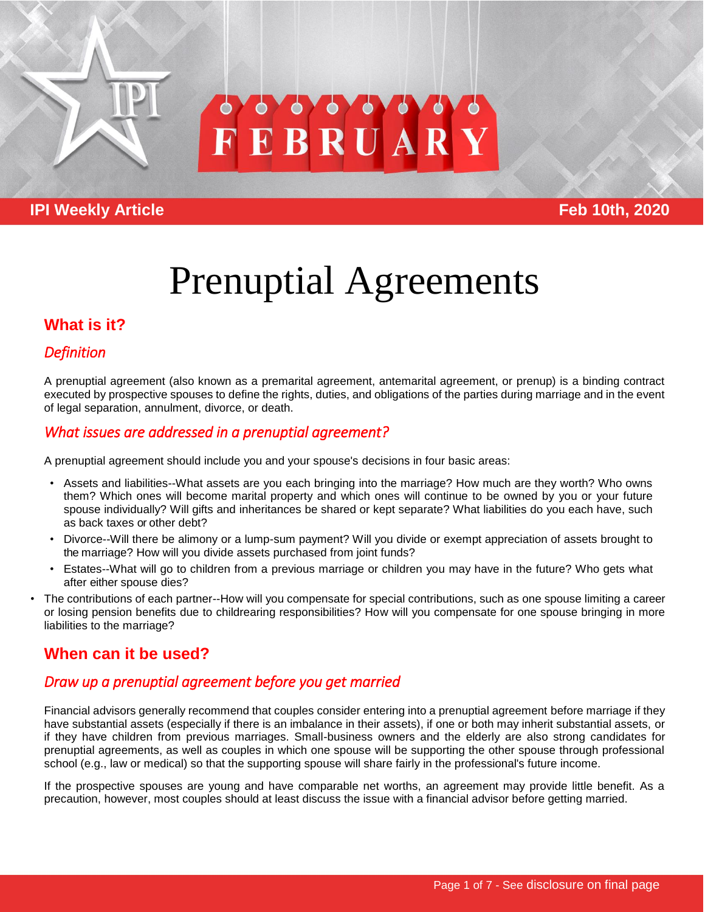

# EBRUAR

# **IPI Weekly Article Feb 10th, 2020**

# Prenuptial Agreements

# **What is it?**

# *Definition*

A prenuptial agreement (also known as a premarital agreement, antemarital agreement, or prenup) is a binding contract executed by prospective spouses to define the rights, duties, and obligations of the parties during marriage and in the event of legal separation, annulment, divorce, or death.

# *What issues are addressed in a prenuptial agreement?*

A prenuptial agreement should include you and your spouse's decisions in four basic areas:

- Assets and liabilities--What assets are you each bringing into the marriage? How much are they worth? Who owns them? Which ones will become marital property and which ones will continue to be owned by you or your future spouse individually? Will gifts and inheritances be shared or kept separate? What liabilities do you each have, such as back taxes or other debt?
- Divorce--Will there be alimony or a lump-sum payment? Will you divide or exempt appreciation of assets brought to the marriage? How will you divide assets purchased from joint funds?
- Estates--What will go to children from a previous marriage or children you may have in the future? Who gets what after either spouse dies?
- The contributions of each partner--How will you compensate for special contributions, such as one spouse limiting a career or losing pension benefits due to childrearing responsibilities? How will you compensate for one spouse bringing in more liabilities to the marriage?

# **When can it be used?**

# *Draw up a prenuptial agreement before you get married*

Financial advisors generally recommend that couples consider entering into a prenuptial agreement before marriage if they have substantial assets (especially if there is an imbalance in their assets), if one or both may inherit substantial assets, or if they have children from previous marriages. Small-business owners and the elderly are also strong candidates for prenuptial agreements, as well as couples in which one spouse will be supporting the other spouse through professional school (e.g., law or medical) so that the supporting spouse will share fairly in the professional's future income.

If the prospective spouses are young and have comparable net worths, an agreement may provide little benefit. As a precaution, however, most couples should at least discuss the issue with a financial advisor before getting married.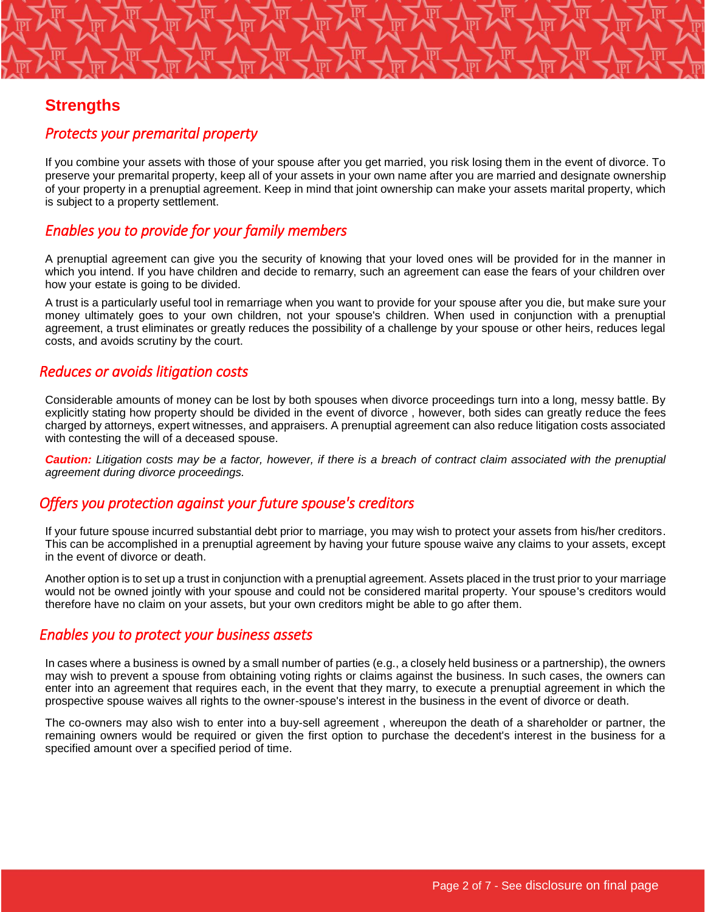# **Strengths**

#### *Protects your premarital property*

If you combine your assets with those of your spouse after you get married, you risk losing them in the event of divorce. To preserve your premarital property, keep all of your assets in your own name after you are married and designate ownership of your property in a prenuptial agreement. Keep in mind that joint ownership can make your assets marital property, which is subject to a property settlement.

#### *Enables you to provide for your family members*

A prenuptial agreement can give you the security of knowing that your loved ones will be provided for in the manner in which you intend. If you have children and decide to remarry, such an agreement can ease the fears of your children over how your estate is going to be divided.

A trust is a particularly useful tool in remarriage when you want to provide for your spouse after you die, but make sure your money ultimately goes to your own children, not your spouse's children. When used in conjunction with a prenuptial agreement, a trust eliminates or greatly reduces the possibility of a challenge by your spouse or other heirs, reduces legal costs, and avoids scrutiny by the court.

#### *Reduces or avoids litigation costs*

Considerable amounts of money can be lost by both spouses when divorce proceedings turn into a long, messy battle. By explicitly stating how property should be divided in the event of divorce , however, both sides can greatly reduce the fees charged by attorneys, expert witnesses, and appraisers. A prenuptial agreement can also reduce litigation costs associated with contesting the will of a deceased spouse.

*Caution: Litigation costs may be a factor, however, if there is a breach of contract claim associated with the prenuptial agreement during divorce proceedings.*

#### *Offers you protection against your future spouse's creditors*

If your future spouse incurred substantial debt prior to marriage, you may wish to protect your assets from his/her creditors. This can be accomplished in a prenuptial agreement by having your future spouse waive any claims to your assets, except in the event of divorce or death.

Another option is to set up a trust in conjunction with a prenuptial agreement. Assets placed in the trust prior to your marriage would not be owned jointly with your spouse and could not be considered marital property. Your spouse's creditors would therefore have no claim on your assets, but your own creditors might be able to go after them.

#### *Enables you to protect your business assets*

In cases where a business is owned by a small number of parties (e.g., a closely held business or a partnership), the owners may wish to prevent a spouse from obtaining voting rights or claims against the business. In such cases, the owners can enter into an agreement that requires each, in the event that they marry, to execute a prenuptial agreement in which the prospective spouse waives all rights to the owner-spouse's interest in the business in the event of divorce or death.

The co-owners may also wish to enter into a buy-sell agreement , whereupon the death of a shareholder or partner, the remaining owners would be required or given the first option to purchase the decedent's interest in the business for a specified amount over a specified period of time.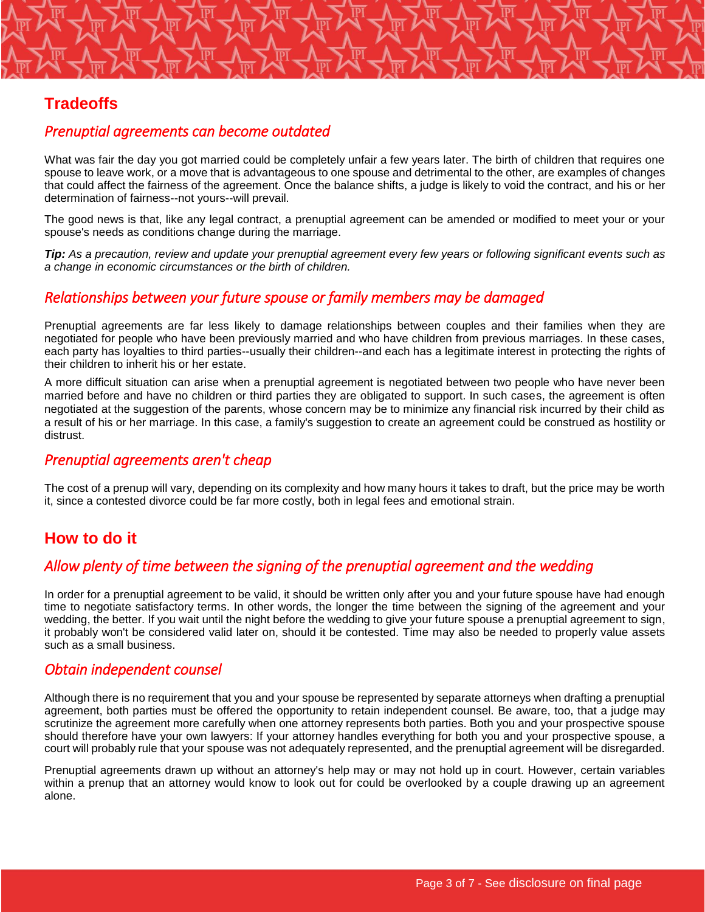# **Tradeoffs**

#### *Prenuptial agreements can become outdated*

What was fair the day you got married could be completely unfair a few years later. The birth of children that requires one spouse to leave work, or a move that is advantageous to one spouse and detrimental to the other, are examples of changes that could affect the fairness of the agreement. Once the balance shifts, a judge is likely to void the contract, and his or her determination of fairness--not yours--will prevail.

The good news is that, like any legal contract, a prenuptial agreement can be amended or modified to meet your or your spouse's needs as conditions change during the marriage.

*Tip: As a precaution, review and update your prenuptial agreement every few years or following significant events such as a change in economic circumstances or the birth of children.*

#### *Relationships between your future spouse or family members may be damaged*

Prenuptial agreements are far less likely to damage relationships between couples and their families when they are negotiated for people who have been previously married and who have children from previous marriages. In these cases, each party has loyalties to third parties--usually their children--and each has a legitimate interest in protecting the rights of their children to inherit his or her estate.

A more difficult situation can arise when a prenuptial agreement is negotiated between two people who have never been married before and have no children or third parties they are obligated to support. In such cases, the agreement is often negotiated at the suggestion of the parents, whose concern may be to minimize any financial risk incurred by their child as a result of his or her marriage. In this case, a family's suggestion to create an agreement could be construed as hostility or distrust.

#### *Prenuptial agreements aren't cheap*

The cost of a prenup will vary, depending on its complexity and how many hours it takes to draft, but the price may be worth it, since a contested divorce could be far more costly, both in legal fees and emotional strain.

# **How to do it**

#### *Allow plenty of time between the signing of the prenuptial agreement and the wedding*

In order for a prenuptial agreement to be valid, it should be written only after you and your future spouse have had enough time to negotiate satisfactory terms. In other words, the longer the time between the signing of the agreement and your wedding, the better. If you wait until the night before the wedding to give your future spouse a prenuptial agreement to sign, it probably won't be considered valid later on, should it be contested. Time may also be needed to properly value assets such as a small business.

#### *Obtain independent counsel*

Although there is no requirement that you and your spouse be represented by separate attorneys when drafting a prenuptial agreement, both parties must be offered the opportunity to retain independent counsel. Be aware, too, that a judge may scrutinize the agreement more carefully when one attorney represents both parties. Both you and your prospective spouse should therefore have your own lawyers: If your attorney handles everything for both you and your prospective spouse, a court will probably rule that your spouse was not adequately represented, and the prenuptial agreement will be disregarded.

Prenuptial agreements drawn up without an attorney's help may or may not hold up in court. However, certain variables within a prenup that an attorney would know to look out for could be overlooked by a couple drawing up an agreement alone.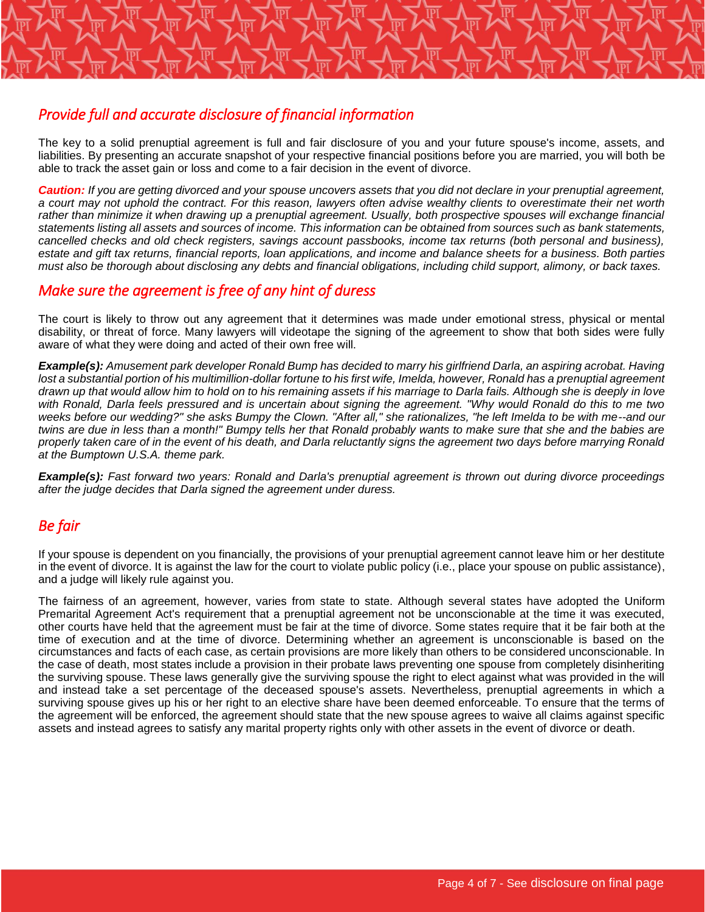

The key to a solid prenuptial agreement is full and fair disclosure of you and your future spouse's income, assets, and liabilities. By presenting an accurate snapshot of your respective financial positions before you are married, you will both be able to track the asset gain or loss and come to a fair decision in the event of divorce.

*Caution: If you are getting divorced and your spouse uncovers assets that you did not declare in your prenuptial agreement, a court may not uphold the contract. For this reason, lawyers often advise wealthy clients to overestimate their net worth rather than minimize it when drawing up a prenuptial agreement. Usually, both prospective spouses will exchange financial statements listing all assets and sources of income. This information can be obtained from sources such as bank statements, cancelled checks and old check registers, savings account passbooks, income tax returns (both personal and business), estate and gift tax returns, financial reports, loan applications, and income and balance sheets for a business. Both parties must also be thorough about disclosing any debts and financial obligations, including child support, alimony, or back taxes.*

#### *Make sure the agreement is free of any hint of duress*

The court is likely to throw out any agreement that it determines was made under emotional stress, physical or mental disability, or threat of force. Many lawyers will videotape the signing of the agreement to show that both sides were fully aware of what they were doing and acted of their own free will.

*Example(s): Amusement park developer Ronald Bump has decided to marry his girlfriend Darla, an aspiring acrobat. Having*  lost a substantial portion of his multimillion-dollar fortune to his first wife, Imelda, however, Ronald has a prenuptial agreement *drawn up that would allow him to hold on to his remaining assets if his marriage to Darla fails. Although she is deeply in love with Ronald, Darla feels pressured and is uncertain about signing the agreement. "Why would Ronald do this to me two weeks before our wedding?" she asks Bumpy the Clown. "After all," she rationalizes, "he left Imelda to be with me--and our twins are due in less than a month!" Bumpy tells her that Ronald probably wants to make sure that she and the babies are properly taken care of in the event of his death, and Darla reluctantly signs the agreement two days before marrying Ronald at the Bumptown U.S.A. theme park.*

*Example(s): Fast forward two years: Ronald and Darla's prenuptial agreement is thrown out during divorce proceedings after the judge decides that Darla signed the agreement under duress.*

#### *Be fair*

If your spouse is dependent on you financially, the provisions of your prenuptial agreement cannot leave him or her destitute in the event of divorce. It is against the law for the court to violate public policy (i.e., place your spouse on public assistance), and a judge will likely rule against you.

The fairness of an agreement, however, varies from state to state. Although several states have adopted the Uniform Premarital Agreement Act's requirement that a prenuptial agreement not be unconscionable at the time it was executed, other courts have held that the agreement must be fair at the time of divorce. Some states require that it be fair both at the time of execution and at the time of divorce. Determining whether an agreement is unconscionable is based on the circumstances and facts of each case, as certain provisions are more likely than others to be considered unconscionable. In the case of death, most states include a provision in their probate laws preventing one spouse from completely disinheriting the surviving spouse. These laws generally give the surviving spouse the right to elect against what was provided in the will and instead take a set percentage of the deceased spouse's assets. Nevertheless, prenuptial agreements in which a surviving spouse gives up his or her right to an elective share have been deemed enforceable. To ensure that the terms of the agreement will be enforced, the agreement should state that the new spouse agrees to waive all claims against specific assets and instead agrees to satisfy any marital property rights only with other assets in the event of divorce or death.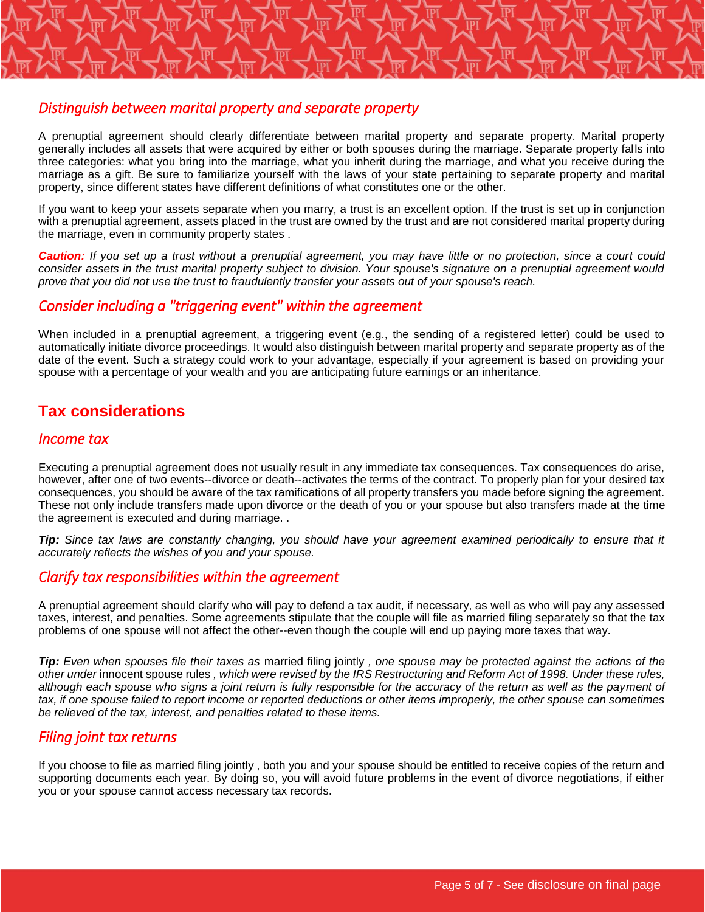# *Distinguish between marital property and separate property*

A prenuptial agreement should clearly differentiate between marital property and separate property. Marital property generally includes all assets that were acquired by either or both spouses during the marriage. Separate property falls into three categories: what you bring into the marriage, what you inherit during the marriage, and what you receive during the marriage as a gift. Be sure to familiarize yourself with the laws of your state pertaining to separate property and marital property, since different states have different definitions of what constitutes one or the other.

If you want to keep your assets separate when you marry, a trust is an excellent option. If the trust is set up in conjunction with a prenuptial agreement, assets placed in the trust are owned by the trust and are not considered marital property during the marriage, even in community property states .

*Caution: If you set up a trust without a prenuptial agreement, you may have little or no protection, since a court could consider assets in the trust marital property subject to division. Your spouse's signature on a prenuptial agreement would prove that you did not use the trust to fraudulently transfer your assets out of your spouse's reach.*

#### *Consider including a "triggering event" within the agreement*

When included in a prenuptial agreement, a triggering event (e.g., the sending of a registered letter) could be used to automatically initiate divorce proceedings. It would also distinguish between marital property and separate property as of the date of the event. Such a strategy could work to your advantage, especially if your agreement is based on providing your spouse with a percentage of your wealth and you are anticipating future earnings or an inheritance.

# **Tax considerations**

#### *Income tax*

Executing a prenuptial agreement does not usually result in any immediate tax consequences. Tax consequences do arise, however, after one of two events--divorce or death--activates the terms of the contract. To properly plan for your desired tax consequences, you should be aware of the tax ramifications of all property transfers you made before signing the agreement. These not only include transfers made upon divorce or the death of you or your spouse but also transfers made at the time the agreement is executed and during marriage. .

*Tip: Since tax laws are constantly changing, you should have your agreement examined periodically to ensure that it accurately reflects the wishes of you and your spouse.*

#### *Clarify tax responsibilities within the agreement*

A prenuptial agreement should clarify who will pay to defend a tax audit, if necessary, as well as who will pay any assessed taxes, interest, and penalties. Some agreements stipulate that the couple will file as married filing separately so that the tax problems of one spouse will not affect the other--even though the couple will end up paying more taxes that way.

*Tip: Even when spouses file their taxes as married filing jointly, one spouse may be protected against the actions of the other under* innocent spouse rules *, which were revised by the IRS Restructuring and Reform Act of 1998. Under these rules, although each spouse who signs a joint return is fully responsible for the accuracy of the return as well as the payment of tax, if one spouse failed to report income or reported deductions or other items improperly, the other spouse can sometimes be relieved of the tax, interest, and penalties related to these items.*

#### *Filing joint tax returns*

If you choose to file as married filing jointly , both you and your spouse should be entitled to receive copies of the return and supporting documents each year. By doing so, you will avoid future problems in the event of divorce negotiations, if either you or your spouse cannot access necessary tax records.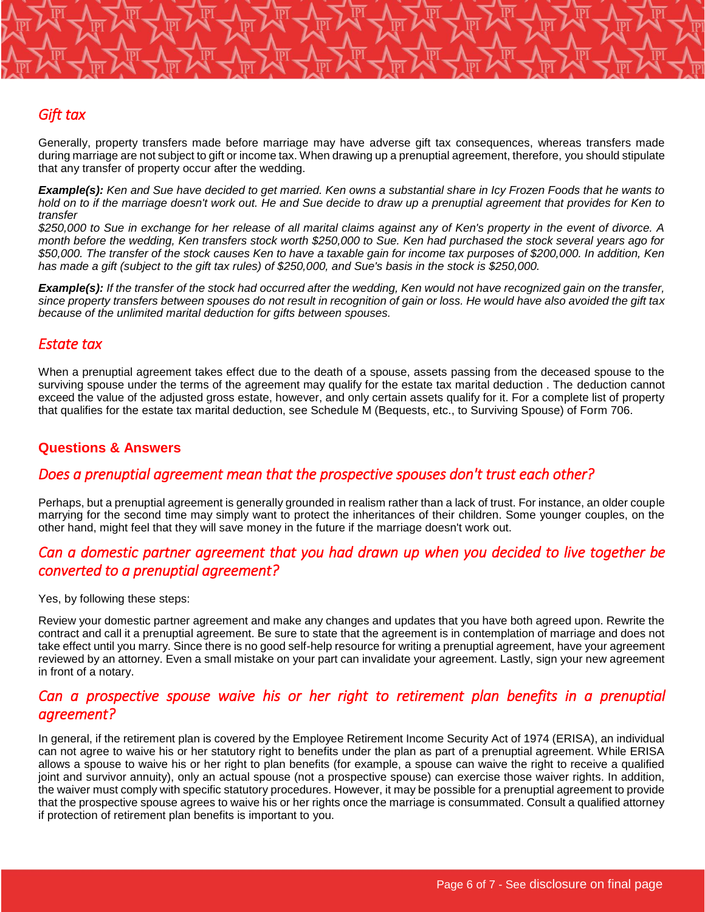#### *Gift tax*

Generally, property transfers made before marriage may have adverse gift tax consequences, whereas transfers made during marriage are not subject to gift or income tax. When drawing up a prenuptial agreement, therefore, you should stipulate that any transfer of property occur after the wedding.

*Example(s): Ken and Sue have decided to get married. Ken owns a substantial share in Icy Frozen Foods that he wants to hold on to if the marriage doesn't work out. He and Sue decide to draw up a prenuptial agreement that provides for Ken to transfer*

*\$250,000 to Sue in exchange for her release of all marital claims against any of Ken's property in the event of divorce. A month before the wedding, Ken transfers stock worth \$250,000 to Sue. Ken had purchased the stock several years ago for \$50,000. The transfer of the stock causes Ken to have a taxable gain for income tax purposes of \$200,000. In addition, Ken has made a gift (subject to the gift tax rules) of \$250,000, and Sue's basis in the stock is \$250,000.*

*Example(s): If the transfer of the stock had occurred after the wedding, Ken would not have recognized gain on the transfer, since property transfers between spouses do not result in recognition of gain or loss. He would have also avoided the gift tax because of the unlimited marital deduction for gifts between spouses.*

#### *Estate tax*

When a prenuptial agreement takes effect due to the death of a spouse, assets passing from the deceased spouse to the surviving spouse under the terms of the agreement may qualify for the estate tax marital deduction . The deduction cannot exceed the value of the adjusted gross estate, however, and only certain assets qualify for it. For a complete list of property that qualifies for the estate tax marital deduction, see Schedule M (Bequests, etc., to Surviving Spouse) of Form 706.

#### **Questions & Answers**

#### *Does a prenuptial agreement mean that the prospective spouses don't trust each other?*

Perhaps, but a prenuptial agreement is generally grounded in realism rather than a lack of trust. For instance, an older couple marrying for the second time may simply want to protect the inheritances of their children. Some younger couples, on the other hand, might feel that they will save money in the future if the marriage doesn't work out.

#### *Can a domestic partner agreement that you had drawn up when you decided to live together be converted to a prenuptial agreement?*

Yes, by following these steps:

Review your domestic partner agreement and make any changes and updates that you have both agreed upon. Rewrite the contract and call it a prenuptial agreement. Be sure to state that the agreement is in contemplation of marriage and does not take effect until you marry. Since there is no good self-help resource for writing a prenuptial agreement, have your agreement reviewed by an attorney. Even a small mistake on your part can invalidate your agreement. Lastly, sign your new agreement in front of a notary.

#### *Can a prospective spouse waive his or her right to retirement plan benefits in a prenuptial agreement?*

In general, if the retirement plan is covered by the Employee Retirement Income Security Act of 1974 (ERISA), an individual can not agree to waive his or her statutory right to benefits under the plan as part of a prenuptial agreement. While ERISA allows a spouse to waive his or her right to plan benefits (for example, a spouse can waive the right to receive a qualified joint and survivor annuity), only an actual spouse (not a prospective spouse) can exercise those waiver rights. In addition, the waiver must comply with specific statutory procedures. However, it may be possible for a prenuptial agreement to provide that the prospective spouse agrees to waive his or her rights once the marriage is consummated. Consult a qualified attorney if protection of retirement plan benefits is important to you.